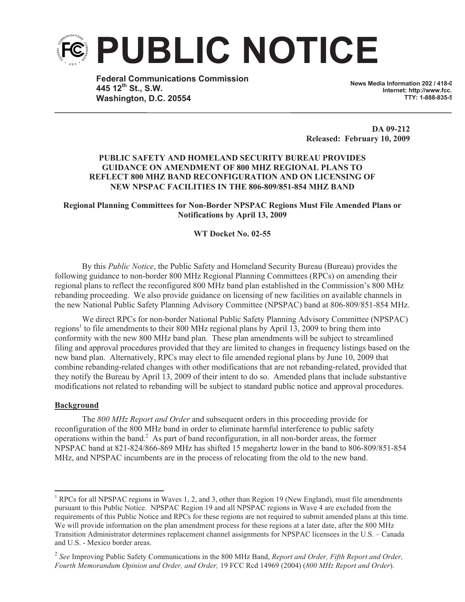

**Federal Communications Commission 445 12th St., S.W. Washington, D.C. 20554**

**News Media Information 202 / 418-0 Internet: http://www.fcc. TTY: 1-888-835-5322**

**DA 09-212 Released: February 10, 2009**

# **PUBLIC SAFETY AND HOMELAND SECURITY BUREAU PROVIDES GUIDANCE ON AMENDMENT OF 800 MHZ REGIONAL PLANS TO REFLECT 800 MHZ BAND RECONFIGURATION AND ON LICENSING OF NEW NPSPAC FACILITIES IN THE 806-809/851-854 MHZ BAND**

# **Regional Planning Committees for Non-Border NPSPAC Regions Must File Amended Plans or Notifications by April 13, 2009**

# **WT Docket No. 02-55**

By this *Public Notice*, the Public Safety and Homeland Security Bureau (Bureau) provides the following guidance to non-border 800 MHz Regional Planning Committees (RPCs) on amending their regional plans to reflect the reconfigured 800 MHz band plan established in the Commission's 800 MHz rebanding proceeding. We also provide guidance on licensing of new facilities on available channels in the new National Public Safety Planning Advisory Committee (NPSPAC) band at 806-809/851-854 MHz.

We direct RPCs for non-border National Public Safety Planning Advisory Committee (NPSPAC) regions<sup>1</sup> to file amendments to their 800 MHz regional plans by April 13, 2009 to bring them into conformity with the new 800 MHz band plan. These plan amendments will be subject to streamlined filing and approval procedures provided that they are limited to changes in frequency listings based on the new band plan. Alternatively, RPCs may elect to file amended regional plans by June 10, 2009 that combine rebanding-related changes with other modifications that are not rebanding-related, provided that they notify the Bureau by April 13, 2009 of their intent to do so. Amended plans that include substantive modifications not related to rebanding will be subject to standard public notice and approval procedures.

# **Background**

The *800 MHz Report and Order* and subsequent orders in this proceeding provide for reconfiguration of the 800 MHz band in order to eliminate harmful interference to public safety operations within the band.<sup>2</sup> As part of band reconfiguration, in all non-border areas, the former NPSPAC band at 821-824/866-869 MHz has shifted 15 megahertz lower in the band to 806-809/851-854 MHz, and NPSPAC incumbents are in the process of relocating from the old to the new band.

<sup>&</sup>lt;sup>1</sup> RPCs for all NPSPAC regions in Waves 1, 2, and 3, other than Region 19 (New England), must file amendments pursuant to this Public Notice. NPSPAC Region 19 and all NPSPAC regions in Wave 4 are excluded from the requirements of this Public Notice and RPCs for these regions are not required to submit amended plans at this time. We will provide information on the plan amendment process for these regions at a later date, after the 800 MHz Transition Administrator determines replacement channel assignments for NPSPAC licensees in the U.S. – Canada and U.S. - Mexico border areas.

<sup>2</sup> *See* Improving Public Safety Communications in the 800 MHz Band, *Report and Order, Fifth Report and Order, Fourth Memorandum Opinion and Order, and Order,* 19 FCC Rcd 14969 (2004) (*800 MHz Report and Order*).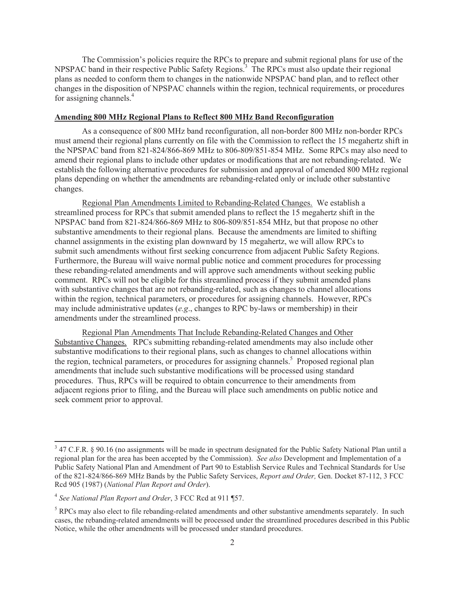The Commission's policies require the RPCs to prepare and submit regional plans for use of the NPSPAC band in their respective Public Safety Regions.<sup>3</sup> The RPCs must also update their regional plans as needed to conform them to changes in the nationwide NPSPAC band plan, and to reflect other changes in the disposition of NPSPAC channels within the region, technical requirements, or procedures for assigning channels.<sup>4</sup>

### **Amending 800 MHz Regional Plans to Reflect 800 MHz Band Reconfiguration**

As a consequence of 800 MHz band reconfiguration, all non-border 800 MHz non-border RPCs must amend their regional plans currently on file with the Commission to reflect the 15 megahertz shift in the NPSPAC band from 821-824/866-869 MHz to 806-809/851-854 MHz. Some RPCs may also need to amend their regional plans to include other updates or modifications that are not rebanding-related. We establish the following alternative procedures for submission and approval of amended 800 MHz regional plans depending on whether the amendments are rebanding-related only or include other substantive changes.

Regional Plan Amendments Limited to Rebanding-Related Changes. We establish a streamlined process for RPCs that submit amended plans to reflect the 15 megahertz shift in the NPSPAC band from 821-824/866-869 MHz to 806-809/851-854 MHz, but that propose no other substantive amendments to their regional plans. Because the amendments are limited to shifting channel assignments in the existing plan downward by 15 megahertz, we will allow RPCs to submit such amendments without first seeking concurrence from adjacent Public Safety Regions. Furthermore, the Bureau will waive normal public notice and comment procedures for processing these rebanding-related amendments and will approve such amendments without seeking public comment. RPCs will not be eligible for this streamlined process if they submit amended plans with substantive changes that are not rebanding-related, such as changes to channel allocations within the region, technical parameters, or procedures for assigning channels. However, RPCs may include administrative updates (*e.g*., changes to RPC by-laws or membership) in their amendments under the streamlined process.

Regional Plan Amendments That Include Rebanding-Related Changes and Other Substantive Changes. RPCs submitting rebanding-related amendments may also include other substantive modifications to their regional plans, such as changes to channel allocations within the region, technical parameters, or procedures for assigning channels.<sup>5</sup> Proposed regional plan amendments that include such substantive modifications will be processed using standard procedures. Thus, RPCs will be required to obtain concurrence to their amendments from adjacent regions prior to filing, and the Bureau will place such amendments on public notice and seek comment prior to approval.

 $3$  47 C.F.R. § 90.16 (no assignments will be made in spectrum designated for the Public Safety National Plan until a regional plan for the area has been accepted by the Commission). *See also* Development and Implementation of a Public Safety National Plan and Amendment of Part 90 to Establish Service Rules and Technical Standards for Use of the 821-824/866-869 MHz Bands by the Public Safety Services, *Report and Order,* Gen. Docket 87-112, 3 FCC Rcd 905 (1987) (*National Plan Report and Order*).

<sup>4</sup> *See National Plan Report and Order*, 3 FCC Rcd at 911 ¶57.

<sup>&</sup>lt;sup>5</sup> RPCs may also elect to file rebanding-related amendments and other substantive amendments separately. In such cases, the rebanding-related amendments will be processed under the streamlined procedures described in this Public Notice, while the other amendments will be processed under standard procedures.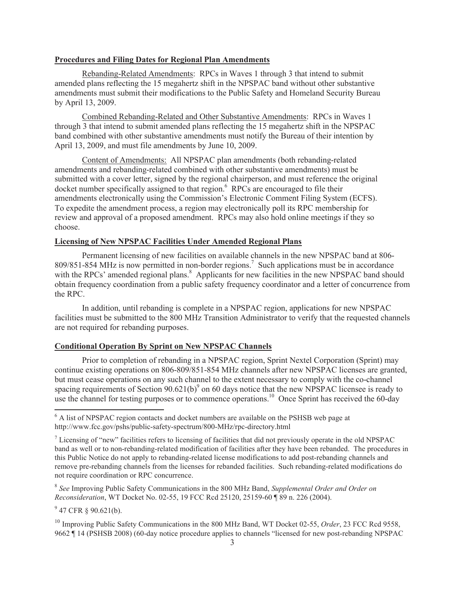#### **Procedures and Filing Dates for Regional Plan Amendments**

Rebanding-Related Amendments: RPCs in Waves 1 through 3 that intend to submit amended plans reflecting the 15 megahertz shift in the NPSPAC band without other substantive amendments must submit their modifications to the Public Safety and Homeland Security Bureau by April 13, 2009.

Combined Rebanding-Related and Other Substantive Amendments: RPCs in Waves 1 through 3 that intend to submit amended plans reflecting the 15 megahertz shift in the NPSPAC band combined with other substantive amendments must notify the Bureau of their intention by April 13, 2009, and must file amendments by June 10, 2009.

Content of Amendments: All NPSPAC plan amendments (both rebanding-related amendments and rebanding-related combined with other substantive amendments) must be submitted with a cover letter, signed by the regional chairperson, and must reference the original docket number specifically assigned to that region.<sup>6</sup> RPCs are encouraged to file their amendments electronically using the Commission's Electronic Comment Filing System (ECFS). To expedite the amendment process, a region may electronically poll its RPC membership for review and approval of a proposed amendment. RPCs may also hold online meetings if they so choose.

### **Licensing of New NPSPAC Facilities Under Amended Regional Plans**

Permanent licensing of new facilities on available channels in the new NPSPAC band at 806- 809/851-854 MHz is now permitted in non-border regions.<sup>7</sup> Such applications must be in accordance with the RPCs' amended regional plans.<sup>8</sup> Applicants for new facilities in the new NPSPAC band should obtain frequency coordination from a public safety frequency coordinator and a letter of concurrence from the RPC.

In addition, until rebanding is complete in a NPSPAC region, applications for new NPSPAC facilities must be submitted to the 800 MHz Transition Administrator to verify that the requested channels are not required for rebanding purposes.

### **Conditional Operation By Sprint on New NPSPAC Channels**

Prior to completion of rebanding in a NPSPAC region, Sprint Nextel Corporation (Sprint) may continue existing operations on 806-809/851-854 MHz channels after new NPSPAC licenses are granted, but must cease operations on any such channel to the extent necessary to comply with the co-channel spacing requirements of Section  $90.621(b)$ <sup>9</sup> on 60 days notice that the new NPSPAC licensee is ready to use the channel for testing purposes or to commence operations.<sup>10</sup> Once Sprint has received the 60-day

8 *See* Improving Public Safety Communications in the 800 MHz Band, *Supplemental Order and Order on Reconsideration*, WT Docket No. 02-55, 19 FCC Rcd 25120, 25159-60 ¶ 89 n. 226 (2004).

 $9^9$  47 CFR § 90.621(b).

<sup>10</sup> Improving Public Safety Communications in the 800 MHz Band, WT Docket 02-55, *Order*, 23 FCC Rcd 9558, 9662 ¶ 14 (PSHSB 2008) (60-day notice procedure applies to channels "licensed for new post-rebanding NPSPAC

<sup>&</sup>lt;sup>6</sup> A list of NPSPAC region contacts and docket numbers are available on the PSHSB web page at http://www.fcc.gov/pshs/public-safety-spectrum/800-MHz/rpc-directory.html

 $<sup>7</sup>$  Licensing of "new" facilities refers to licensing of facilities that did not previously operate in the old NPSPAC</sup> band as well or to non-rebanding-related modification of facilities after they have been rebanded. The procedures in this Public Notice do not apply to rebanding-related license modifications to add post-rebanding channels and remove pre-rebanding channels from the licenses for rebanded facilities. Such rebanding-related modifications do not require coordination or RPC concurrence.